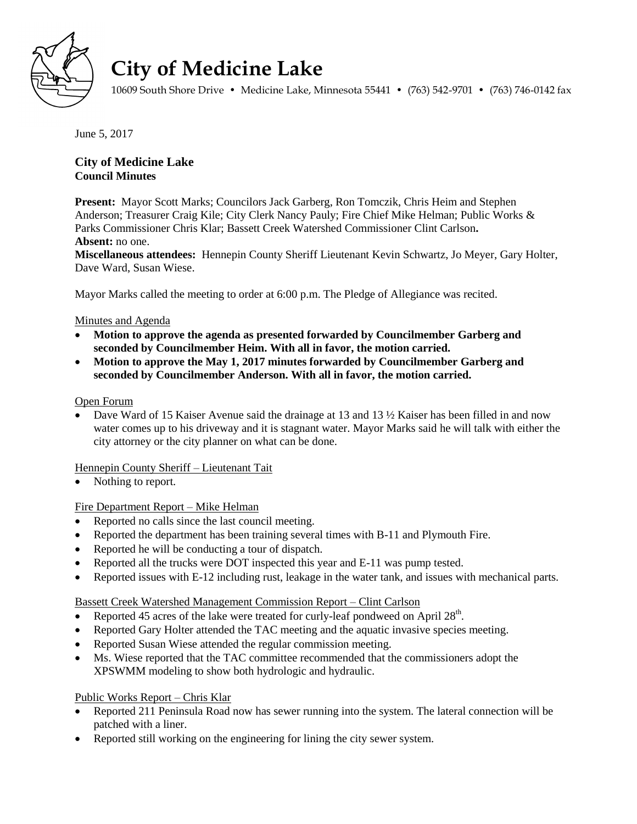

# **City of Medicine Lake**

10609 South Shore Drive • Medicine Lake, Minnesota 55441 • (763) 542-9701 • (763) 746-0142 fax

June 5, 2017

## **City of Medicine Lake Council Minutes**

**Present:** Mayor Scott Marks; Councilors Jack Garberg, Ron Tomczik, Chris Heim and Stephen Anderson; Treasurer Craig Kile; City Clerk Nancy Pauly; Fire Chief Mike Helman; Public Works & Parks Commissioner Chris Klar; Bassett Creek Watershed Commissioner Clint Carlson**. Absent:** no one.

**Miscellaneous attendees:** Hennepin County Sheriff Lieutenant Kevin Schwartz, Jo Meyer, Gary Holter, Dave Ward, Susan Wiese.

Mayor Marks called the meeting to order at 6:00 p.m. The Pledge of Allegiance was recited.

## Minutes and Agenda

- **Motion to approve the agenda as presented forwarded by Councilmember Garberg and seconded by Councilmember Heim. With all in favor, the motion carried.**
- **Motion to approve the May 1, 2017 minutes forwarded by Councilmember Garberg and seconded by Councilmember Anderson. With all in favor, the motion carried.**

#### Open Forum

Dave Ward of 15 Kaiser Avenue said the drainage at 13 and 13  $\frac{1}{2}$  Kaiser has been filled in and now water comes up to his driveway and it is stagnant water. Mayor Marks said he will talk with either the city attorney or the city planner on what can be done.

## Hennepin County Sheriff – Lieutenant Tait

Nothing to report.

## Fire Department Report – Mike Helman

- Reported no calls since the last council meeting.
- Reported the department has been training several times with B-11 and Plymouth Fire.
- Reported he will be conducting a tour of dispatch.
- Reported all the trucks were DOT inspected this year and E-11 was pump tested.
- Reported issues with E-12 including rust, leakage in the water tank, and issues with mechanical parts.

#### Bassett Creek Watershed Management Commission Report – Clint Carlson

- Reported 45 acres of the lake were treated for curly-leaf pondweed on April  $28<sup>th</sup>$ .
- Reported Gary Holter attended the TAC meeting and the aquatic invasive species meeting.
- Reported Susan Wiese attended the regular commission meeting.
- Ms. Wiese reported that the TAC committee recommended that the commissioners adopt the XPSWMM modeling to show both hydrologic and hydraulic.

## Public Works Report – Chris Klar

- Reported 211 Peninsula Road now has sewer running into the system. The lateral connection will be patched with a liner.
- Reported still working on the engineering for lining the city sewer system.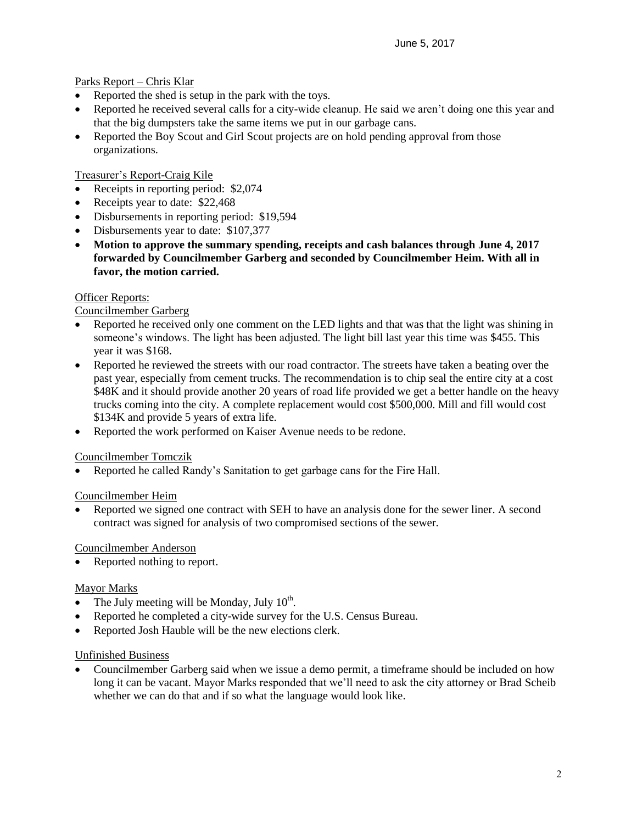Parks Report – Chris Klar

- Reported the shed is setup in the park with the toys.
- Reported he received several calls for a city-wide cleanup. He said we aren't doing one this year and that the big dumpsters take the same items we put in our garbage cans.
- Reported the Boy Scout and Girl Scout projects are on hold pending approval from those organizations.

Treasurer's Report-Craig Kile

- Receipts in reporting period: \$2,074
- Receipts year to date: \$22,468
- Disbursements in reporting period: \$19,594
- Disbursements year to date: \$107,377
- **Motion to approve the summary spending, receipts and cash balances through June 4, 2017 forwarded by Councilmember Garberg and seconded by Councilmember Heim. With all in favor, the motion carried.**

#### **Officer Reports:**

### Councilmember Garberg

- Reported he received only one comment on the LED lights and that was that the light was shining in someone's windows. The light has been adjusted. The light bill last year this time was \$455. This year it was \$168.
- Reported he reviewed the streets with our road contractor. The streets have taken a beating over the past year, especially from cement trucks. The recommendation is to chip seal the entire city at a cost \$48K and it should provide another 20 years of road life provided we get a better handle on the heavy trucks coming into the city. A complete replacement would cost \$500,000. Mill and fill would cost \$134K and provide 5 years of extra life.
- Reported the work performed on Kaiser Avenue needs to be redone.

#### Councilmember Tomczik

Reported he called Randy's Sanitation to get garbage cans for the Fire Hall.

#### Councilmember Heim

 Reported we signed one contract with SEH to have an analysis done for the sewer liner. A second contract was signed for analysis of two compromised sections of the sewer.

#### Councilmember Anderson

• Reported nothing to report.

#### Mayor Marks

- The July meeting will be Monday, July  $10^{th}$ .
- Reported he completed a city-wide survey for the U.S. Census Bureau.
- Reported Josh Hauble will be the new elections clerk.

#### Unfinished Business

 Councilmember Garberg said when we issue a demo permit, a timeframe should be included on how long it can be vacant. Mayor Marks responded that we'll need to ask the city attorney or Brad Scheib whether we can do that and if so what the language would look like.